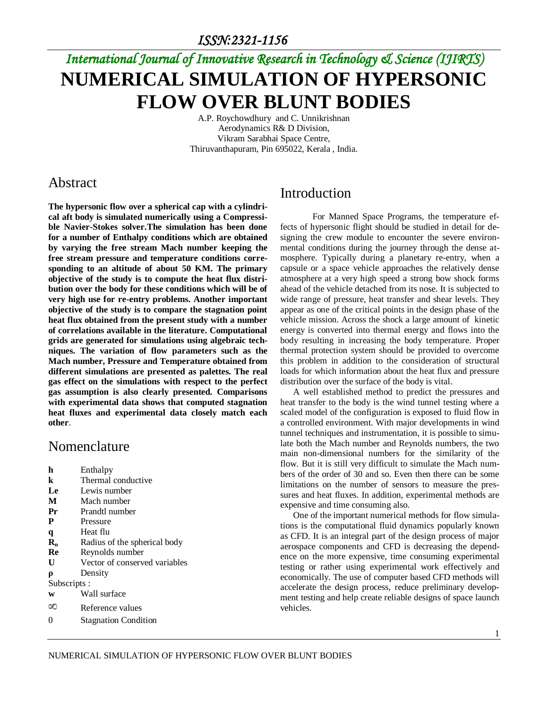# *International Journal of Innovative Research in Technology & Science (IJIRTS)* **NUMERICAL SIMULATION OF HYPERSONIC FLOW OVER BLUNT BODIES**

A.P. Roychowdhury and C. Unnikrishnan Aerodynamics R& D Division, Vikram Sarabhai Space Centre, Thiruvanthapuram, Pin 695022, Kerala , India.

#### Abstract

**The hypersonic flow over a spherical cap with a cylindrical aft body is simulated numerically using a Compressible Navier-Stokes solver.The simulation has been done for a number of Enthalpy conditions which are obtained by varying the free stream Mach number keeping the free stream pressure and temperature conditions corresponding to an altitude of about 50 KM. The primary objective of the study is to compute the heat flux distribution over the body for these conditions which will be of very high use for re-entry problems. Another important objective of the study is to compare the stagnation point heat flux obtained from the present study with a number of correlations available in the literature. Computational grids are generated for simulations using algebraic techniques. The variation of flow parameters such as the Mach number, Pressure and Temperature obtained from different simulations are presented as palettes. The real gas effect on the simulations with respect to the perfect gas assumption is also clearly presented. Comparisons with experimental data shows that computed stagnation heat fluxes and experimental data closely match each other**.

#### Nomenclature

- **h** Enthalpy
- **k** Thermal conductive
- **Le** Lewis number
- **M** Mach number
- **Pr** Prandtl number
- **P** Pressure
- **q** Heat flu
- **R<sup>n</sup>** Radius of the spherical body
- **Re** Reynolds number
- **U** Vector of conserved variables
- **ρ** Density
- Subscripts :
- **w** Wall surface
- $\infty$ Reference values
- 0 Stagnation Condition

### Introduction

For Manned Space Programs, the temperature effects of hypersonic flight should be studied in detail for designing the crew module to encounter the severe environmental conditions during the journey through the dense atmosphere. Typically during a planetary re-entry, when a capsule or a space vehicle approaches the relatively dense atmosphere at a very high speed a strong bow shock forms ahead of the vehicle detached from its nose. It is subjected to wide range of pressure, heat transfer and shear levels. They appear as one of the critical points in the design phase of the vehicle mission. Across the shock a large amount of kinetic energy is converted into thermal energy and flows into the body resulting in increasing the body temperature. Proper thermal protection system should be provided to overcome this problem in addition to the consideration of structural loads for which information about the heat flux and pressure distribution over the surface of the body is vital.

A well established method to predict the pressures and heat transfer to the body is the wind tunnel testing where a scaled model of the configuration is exposed to fluid flow in a controlled environment. With major developments in wind tunnel techniques and instrumentation, it is possible to simulate both the Mach number and Reynolds numbers, the two main non-dimensional numbers for the similarity of the flow. But it is still very difficult to simulate the Mach numbers of the order of 30 and so. Even then there can be some limitations on the number of sensors to measure the pressures and heat fluxes. In addition, experimental methods are expensive and time consuming also.

One of the important numerical methods for flow simulations is the computational fluid dynamics popularly known as CFD. It is an integral part of the design process of major aerospace components and CFD is decreasing the dependence on the more expensive, time consuming experimental testing or rather using experimental work effectively and economically. The use of computer based CFD methods will accelerate the design process, reduce preliminary development testing and help create reliable designs of space launch vehicles.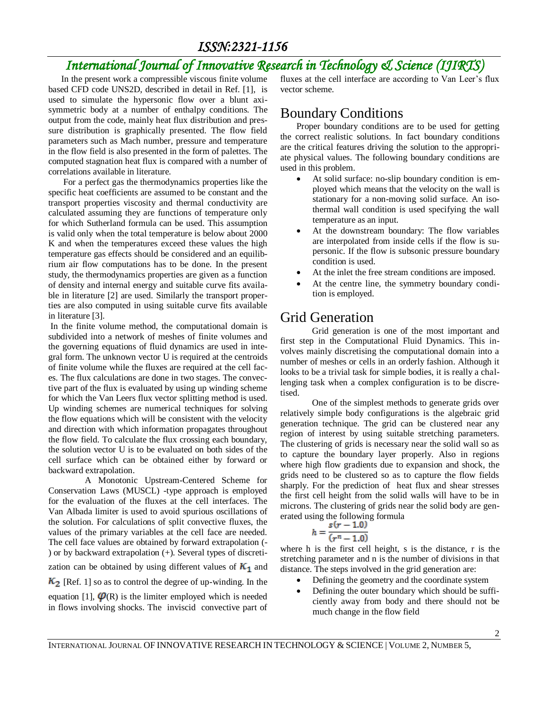## *International Journal of Innovative Research in Technology & Science (IJIRTS)*

In the present work a compressible viscous finite volume based CFD code UNS2D, described in detail in Ref. [1], is used to simulate the hypersonic flow over a blunt axisymmetric body at a number of enthalpy conditions. The output from the code, mainly heat flux distribution and pressure distribution is graphically presented. The flow field parameters such as Mach number, pressure and temperature in the flow field is also presented in the form of palettes. The computed stagnation heat flux is compared with a number of correlations available in literature.

For a perfect gas the thermodynamics properties like the specific heat coefficients are assumed to be constant and the transport properties viscosity and thermal conductivity are calculated assuming they are functions of temperature only for which Sutherland formula can be used. This assumption is valid only when the total temperature is below about 2000 K and when the temperatures exceed these values the high temperature gas effects should be considered and an equilibrium air flow computations has to be done. In the present study, the thermodynamics properties are given as a function of density and internal energy and suitable curve fits available in literature [2] are used. Similarly the transport properties are also computed in using suitable curve fits available in literature [3].

In the finite volume method, the computational domain is subdivided into a network of meshes of finite volumes and the governing equations of fluid dynamics are used in integral form. The unknown vector U is required at the centroids of finite volume while the fluxes are required at the cell faces. The flux calculations are done in two stages. The convective part of the flux is evaluated by using up winding scheme for which the Van Leers flux vector splitting method is used. Up winding schemes are numerical techniques for solving the flow equations which will be consistent with the velocity and direction with which information propagates throughout the flow field. To calculate the flux crossing each boundary, the solution vector U is to be evaluated on both sides of the cell surface which can be obtained either by forward or backward extrapolation.

 A Monotonic Upstream-Centered Scheme for Conservation Laws (MUSCL) -type approach is employed for the evaluation of the fluxes at the cell interfaces. The Van Albada limiter is used to avoid spurious oscillations of the solution. For calculations of split convective fluxes, the values of the primary variables at the cell face are needed. The cell face values are obtained by forward extrapolation (- ) or by backward extrapolation (+). Several types of discretization can be obtained by using different values of  $K_1$  and  $K_2$  [Ref. 1] so as to control the degree of up-winding. In the equation [1],  $\varphi$ (R) is the limiter employed which is needed in flows involving shocks. The inviscid convective part of

fluxes at the cell interface are according to Van Leer's flux vector scheme.

### Boundary Conditions

Proper boundary conditions are to be used for getting the correct realistic solutions. In fact boundary conditions are the critical features driving the solution to the appropriate physical values. The following boundary conditions are used in this problem.

- At solid surface: no-slip boundary condition is employed which means that the velocity on the wall is stationary for a non-moving solid surface. An isothermal wall condition is used specifying the wall temperature as an input.
- At the downstream boundary: The flow variables are interpolated from inside cells if the flow is supersonic. If the flow is subsonic pressure boundary condition is used.
- At the inlet the free stream conditions are imposed.
- At the centre line, the symmetry boundary condition is employed.

## Grid Generation

Grid generation is one of the most important and first step in the Computational Fluid Dynamics. This involves mainly discretising the computational domain into a number of meshes or cells in an orderly fashion. Although it looks to be a trivial task for simple bodies, it is really a challenging task when a complex configuration is to be discretised.

One of the simplest methods to generate grids over relatively simple body configurations is the algebraic grid generation technique. The grid can be clustered near any region of interest by using suitable stretching parameters. The clustering of grids is necessary near the solid wall so as to capture the boundary layer properly. Also in regions where high flow gradients due to expansion and shock, the grids need to be clustered so as to capture the flow fields sharply. For the prediction of heat flux and shear stresses the first cell height from the solid walls will have to be in microns. The clustering of grids near the solid body are generated using the following formula

$$
h=\frac{s(r-1.0)}{(r^n-1.0)}
$$

where h is the first cell height, s is the distance, r is the stretching parameter and n is the number of divisions in that distance. The steps involved in the grid generation are:

- Defining the geometry and the coordinate system
- Defining the outer boundary which should be sufficiently away from body and there should not be much change in the flow field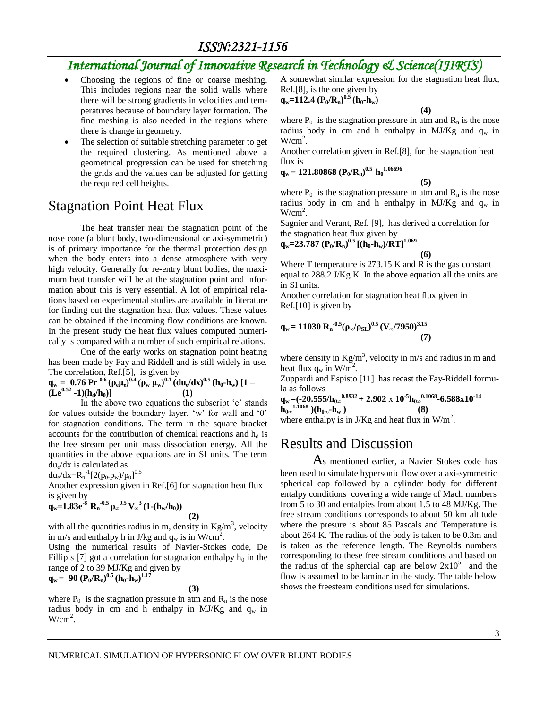## *International Journal of Innovative Research in Technology & Science(IJIRTS)*

- Choosing the regions of fine or coarse meshing. This includes regions near the solid walls where there will be strong gradients in velocities and temperatures because of boundary layer formation. The fine meshing is also needed in the regions where there is change in geometry.
- The selection of suitable stretching parameter to get the required clustering. As mentioned above a geometrical progression can be used for stretching the grids and the values can be adjusted for getting the required cell heights.

#### Stagnation Point Heat Flux

The heat transfer near the stagnation point of the nose cone (a blunt body, two-dimensional or axi-symmetric) is of primary importance for the thermal protection design when the body enters into a dense atmosphere with very high velocity. Generally for re-entry blunt bodies, the maximum heat transfer will be at the stagnation point and information about this is very essential. A lot of empirical relations based on experimental studies are available in literature for finding out the stagnation heat flux values. These values can be obtained if the incoming flow conditions are known. In the present study the heat flux values computed numerically is compared with a number of such empirical relations.

One of the early works on stagnation point heating has been made by Fay and Riddell and is still widely in use. The correlation, Ref.[5], is given by

$$
q_w = 0.76 \Pr^{0.6} (\rho_e \mu_e)^{0.4} (\rho_w \mu_w)^{0.1} (du_e/dx)^{0.5} (h_0 \cdot h_w) [1 - (Le^{0.52} - 1)(h_d/h_0)] \qquad (1)
$$

In the above two equations the subscript 'e' stands for values outside the boundary layer, 'w' for wall and '0' for stagnation conditions. The term in the square bracket accounts for the contribution of chemical reactions and  $h_d$  is the free stream per unit mass dissociation energy. All the quantities in the above equations are in SI units. The term du<sup>e</sup> /dx is calculated as

 $du_e/dx=R_n^{-1}[2(p_0.p_w)/p_0]^{0.5}$ 

Another expression given in Ref.[6] for stagnation heat flux is given by  $q_w = 1.83e^{-8}$ 

$$
R_n^{-0.5} \rho_\infty^{-0.5} V_\infty^{-3} (1-(h_w/h_0))
$$

with all the quantities radius in m, density in  $Kg/m<sup>3</sup>$ , velocity in m/s and enthalpy h in J/kg and  $q_w$  is in W/cm<sup>2</sup>.

Using the numerical results of Navier-Stokes code, De Fillipis [7] got a correlation for stagnation enthalpy  $h_0$  in the range of 2 to 39 MJ/Kg and given by<br> $\approx$  - 00 (**P** /**P**  $_{3}^{0.5}$  (**h h**  $_{3}^{1.17}$ )

$$
q_w = 90 (P_0/R_n)^{0.5} (h_0 \cdot h_w)^{1.17}
$$

 **(3)**

 **(2)**

where  $P_0$  is the stagnation pressure in atm and  $R_n$  is the nose radius body in cm and h enthalpy in MJ/Kg and  $q_w$  in  $W/cm<sup>2</sup>$ .

A somewhat similar expression for the stagnation heat flux, Ref.[8], is the one given by

**q**<sub>w</sub>=112.4 (P<sub>0</sub>/R<sub>n</sub>)<sup>0.5</sup> (h<sub>0</sub>·h<sub>w</sub>)

 **(4)**

where  $P_0$  is the stagnation pressure in atm and  $R_n$  is the nose radius body in cm and h enthalpy in MJ/Kg and  $q_w$  in  $W/cm<sup>2</sup>$ .

Another correlation given in Ref.[8], for the stagnation heat flux is

$$
q_{w} = 121.80868 (P_{0}/R_{n})^{0.5} h_{0}^{1.06696}
$$

 **(5)** where  $P_0$  is the stagnation pressure in atm and  $R_n$  is the nose radius body in cm and h enthalpy in MJ/Kg and  $q_w$  in  $W/cm<sup>2</sup>$ .

Sagnier and Verant, Ref. [9], has derived a correlation for the stagnation heat flux given by

**qw=23.787 (P0/Rn) 0.5 [(h0-hw)/RT]1.069**

$$
(6)
$$

Where T temperature is 273.15 K and R is the gas constant equal to 288.2 J/Kg K. In the above equation all the units are in SI units.

Another correlation for stagnation heat flux given in Ref.[10] is given by

$$
q_w = 11030 R_n^{-0.5} (\rho_\infty/\rho_{SL})^{0.5} (V_\infty/7950)^{3.15}
$$
 (7)

where density in  $Kg/m^3$ , velocity in m/s and radius in m and heat flux  $q_w$  in W/m<sup>2</sup>.

Zuppardi and Espisto [11] has recast the Fay-Riddell formula as follows

**q**<sub>w</sub> =(-20.555/h<sub>0∞</sub><sup>0.8932</sup> + 2.902 x 10<sup>-5</sup>h<sub>0∞</sub><sup>0.1068</sup>-6.588x10<sup>-14</sup>  $\lim_{h_{0\infty}}^{h}$ <sup>1.1068</sup> )( $h_{0\infty}$ - $h_{w}$ ) **1.1068 )**( $\mathbf{h}_{0\infty}$ **-hw**) (8) where enthalpy is in J/Kg and heat flux in  $W/m^2$ .

#### Results and Discussion

As mentioned earlier, a Navier Stokes code has been used to simulate hypersonic flow over a axi-symmetric spherical cap followed by a cylinder body for different entalpy conditions covering a wide range of Mach numbers from 5 to 30 and entalpies from about 1.5 to 48 MJ/Kg. The free stream conditions corresponds to about 50 km altitude where the presure is about 85 Pascals and Temperature is about 264 K. The radius of the body is taken to be 0.3m and is taken as the reference length. The Reynolds numbers corresponding to these free stream conditions and based on the radius of the sphercial cap are below  $2x10^5$  and the flow is assumed to be laminar in the study. The table below shows the freesteam conditions used for simulations.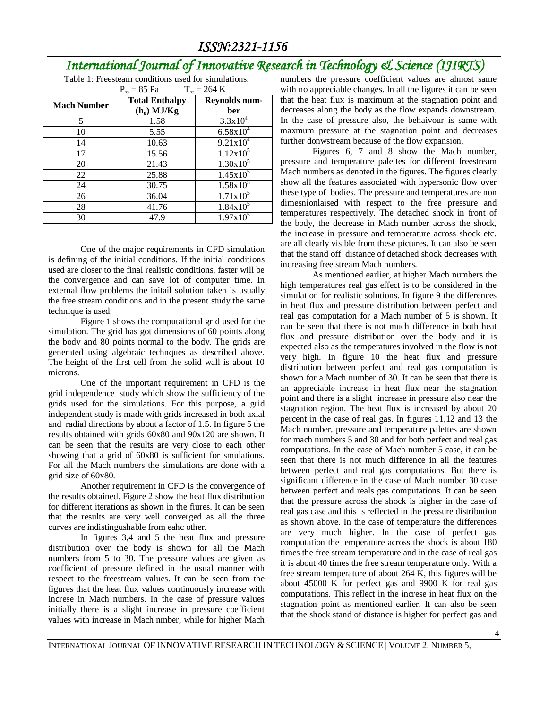## *International Journal of Innovative Research in Technology & Science (IJIRTS)*

| Table 1: Freesteam conditions used for simulations. |                       |                      |  |  |  |  |  |  |  |
|-----------------------------------------------------|-----------------------|----------------------|--|--|--|--|--|--|--|
| $P_{\infty}$ = 85 Pa<br>$T_{\infty}$ = 264 K        |                       |                      |  |  |  |  |  |  |  |
| <b>Mach Number</b>                                  | <b>Total Enthalpy</b> | Reynolds num-        |  |  |  |  |  |  |  |
|                                                     | $(h_0)$ MJ/Kg         | ber                  |  |  |  |  |  |  |  |
| 5                                                   | 1.58                  | $3.3x10^{4}$         |  |  |  |  |  |  |  |
| 10                                                  | 5.55                  | $6.58x10^{4}$        |  |  |  |  |  |  |  |
| 14                                                  | 10.63                 | $9.21 \times 10^{4}$ |  |  |  |  |  |  |  |
| 17                                                  | 15.56                 | $1.12 \times 10^5$   |  |  |  |  |  |  |  |
| 20                                                  | 21.43                 | $1.30x10^5$          |  |  |  |  |  |  |  |
| 22                                                  | 25.88                 | $1.45x10^{5}$        |  |  |  |  |  |  |  |
| 24                                                  | 30.75                 | $1.58x10^5$          |  |  |  |  |  |  |  |
| 26                                                  | 36.04                 | $1.71x10^5$          |  |  |  |  |  |  |  |

28 41.76  $1.84 \times 10^5$ 30 47.9  $1.97 \times 10^5$ 

One of the major requirements in CFD simulation is defining of the initial conditions. If the initial conditions used are closer to the final realistic conditions, faster will be the convergence and can save lot of computer time. In external flow problems the initail solution taken is usually the free stream conditions and in the present study the same technique is used.

Figure 1 shows the computational grid used for the simulation. The grid has got dimensions of 60 points along the body and 80 points normal to the body. The grids are generated using algebraic technques as described above. The height of the first cell from the solid wall is about 10 microns.

One of the important requirement in CFD is the grid independence study which show the sufficiency of the grids used for the simulations. For this purpose, a grid independent study is made with grids increased in both axial and radial directions by about a factor of 1.5. In figure 5 the results obtained with grids 60x80 and 90x120 are shown. It can be seen that the results are very close to each other showing that a grid of 60x80 is sufficient for smulations. For all the Mach numbers the simulations are done with a grid size of 60x80.

Another requirement in CFD is the convergence of the results obtained. Figure 2 show the heat flux distribution for different iterations as shown in the fiures. It can be seen that the results are very well converged as all the three curves are indistingushable from eahc other.

In figures 3,4 and 5 the heat flux and pressure distribution over the body is shown for all the Mach numbers from 5 to 30. The pressure values are given as coefficient of pressure defined in the usual manner with respect to the freestream values. It can be seen from the figures that the heat flux values continuously increase with increse in Mach numbers. In the case of pressure values initially there is a slight increase in pressure coefficient values with increase in Mach nmber, while for higher Mach

numbers the pressure coefficient values are almost same with no appreciable changes. In all the figures it can be seen that the heat flux is maximum at the stagnation point and decreases along the body as the flow expands downstream. In the case of pressure also, the behaivour is same with maxmum pressure at the stagnation point and decreases further donwstream because of the flow expansion.

Figures 6, 7 and 8 show the Mach number, pressure and temperature palettes for different freestream Mach numbers as denoted in the figures. The figures clearly show all the features associated with hypersonic flow over these type of bodies. The pressure and temperatures are non dimesnionlaised with respect to the free pressure and temperatures respectively. The detached shock in front of the body, the decrease in Mach number across the shock, the increase in pressure and temperature across shock etc. are all clearly visible from these pictures. It can also be seen that the stand off distance of detached shock decreases with increasing free stream Mach numbers.

As mentioned earlier, at higher Mach numbers the high temperatures real gas effect is to be considered in the simulation for realistic solutions. In figure 9 the differences in heat flux and pressure distribution between perfect and real gas computation for a Mach number of 5 is shown. It can be seen that there is not much difference in both heat flux and pressure distribution over the body and it is expected also as the temperatures involved in the flow is not very high. In figure 10 the heat flux and pressure distribution between perfect and real gas computation is shown for a Mach number of 30. It can be seen that there is an appreciable increase in heat flux near the stagnation point and there is a slight increase in pressure also near the stagnation region. The heat flux is increased by about 20 percent in the case of real gas. In figures 11,12 and 13 the Mach number, pressure and temperature palettes are shown for mach numbers 5 and 30 and for both perfect and real gas computations. In the case of Mach number 5 case, it can be seen that there is not much difference in all the features between perfect and real gas computations. But there is significant difference in the case of Mach number 30 case between perfect and reals gas computations. It can be seen that the pressure across the shock is higher in the case of real gas case and this is reflected in the pressure distribution as shown above. In the case of temperature the differences are very much higher. In the case of perfect gas computation the temperature across the shock is about 180 times the free stream temperature and in the case of real gas it is about 40 times the free stream temperature only. With a free stream temperature of about 264 K, this figures will be about 45000 K for perfect gas and 9900 K for real gas computations. This reflect in the increse in heat flux on the stagnation point as mentioned earlier. It can also be seen that the shock stand of distance is higher for perfect gas and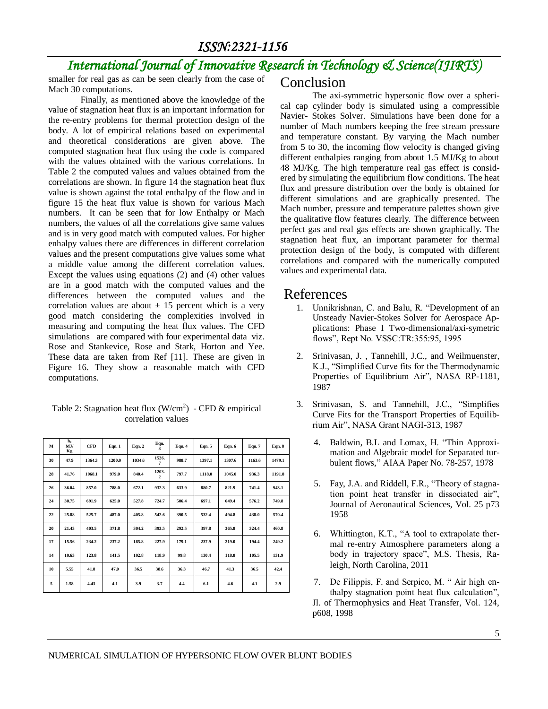## *International Journal of Innovative Research in Technology & Science(IJIRTS)*

smaller for real gas as can be seen clearly from the case of Mach 30 computations.

Finally, as mentioned above the knowledge of the value of stagnation heat flux is an important information for the re-entry problems for thermal protection design of the body. A lot of empirical relations based on experimental and theoretical considerations are given above. The computed stagnation heat flux using the code is compared with the values obtained with the various correlations. In Table 2 the computed values and values obtained from the correlations are shown. In figure 14 the stagnation heat flux value is shown against the total enthalpy of the flow and in figure 15 the heat flux value is shown for various Mach numbers. It can be seen that for low Enthalpy or Mach numbers, the values of all the correlations give same values and is in very good match with computed values. For higher enhalpy values there are differences in different correlation values and the present computations give values some what a middle value among the different correlation values. Except the values using equations (2) and (4) other values are in a good match with the computed values and the differences between the computed values and the correlation values are about  $\pm$  15 percent which is a very good match considering the complexities involved in measuring and computing the heat flux values. The CFD simulations are compared with four experimental data viz. Rose and Stankevice, Rose and Stark, Horton and Yee. These data are taken from Ref [11]. These are given in Figure 16. They show a reasonable match with CFD computations.

Table 2: Stagnation heat flux  $(W/cm^2)$  - CFD & empirical correlation values

| M  | he<br>MJ/<br>Kg | <b>CFD</b> | Eqn. 1 | Eqn. 2 | Eqn.<br>Ã.                       | Eqn. 4 | Eqn. 5 | Eqn. 6 | Eqn. 7 | Eqn. 8 |
|----|-----------------|------------|--------|--------|----------------------------------|--------|--------|--------|--------|--------|
| 30 | 47.9            | 1364.3     | 1200.0 | 1034.6 | 1526.<br>7                       | 988.7  | 1397.1 | 1307.6 | 1163.6 | 1479.1 |
| 28 | 41.76           | 1068.1     | 979.0  | 840.4  | 1203.<br>$\overline{\mathbf{c}}$ | 797.7  | 1118.0 | 1045.0 | 936.3  | 1191.8 |
| 26 | 36.04           | 857.0      | 788.0  | 672.1  | 932.3                            | 633.9  | 880.7  | 821.9  | 741.4  | 943.1  |
| 24 | 30.75           | 691.9      | 625.0  | 527.8  | 724.7                            | 506.4  | 697.1  | 649.4  | 576.2  | 749.8  |
| 22 | 25.88           | 525.7      | 487.0  | 405.8  | 542.6                            | 390.5  | 532.4  | 494.8  | 438.0  | 570.4  |
| 20 | 21.43           | 403.5      | 371.8  | 304.2  | 393.5                            | 292.5  | 397.8  | 365.8  | 324.4  | 460.8  |
| 17 | 15.56           | 234.2      | 237.2  | 185.8  | 227.9                            | 179.1  | 237.9  | 219.0  | 194.4  | 249.2  |
| 14 | 10.63           | 123.8      | 141.5  | 102.8  | 118.9                            | 99.8   | 130.4  | 118.8  | 105.5  | 131.9  |
| 10 | 5.55            | 41.8       | 47.0   | 36.5   | 38.6                             | 36.3   | 46.7   | 41.3   | 36.5   | 42.4   |
| 5  | 1.58            | 4.43       | 4.1    | 3.9    | 3.7                              | 4.4    | 6.1    | 4.6    | 4.1    | 2.9    |

#### Conclusion

The axi-symmetric hypersonic flow over a spherical cap cylinder body is simulated using a compressible Navier- Stokes Solver. Simulations have been done for a number of Mach numbers keeping the free stream pressure and temperature constant. By varying the Mach number from 5 to 30, the incoming flow velocity is changed giving different enthalpies ranging from about 1.5 MJ/Kg to about 48 MJ/Kg. The high temperature real gas effect is considered by simulating the equilibrium flow conditions. The heat flux and pressure distribution over the body is obtained for different simulations and are graphically presented. The Mach number, pressure and temperature palettes shown give the qualitative flow features clearly. The difference between perfect gas and real gas effects are shown graphically. The stagnation heat flux, an important parameter for thermal protection design of the body, is computed with different correlations and compared with the numerically computed values and experimental data.

#### References

- 1. Unnikrishnan, C. and Balu, R. "Development of an Unsteady Navier-Stokes Solver for Aerospace Applications: Phase I Two-dimensional/axi-symetric flows", Rept No. VSSC:TR:355:95, 1995
- 2. Srinivasan, J. , Tannehill, J.C., and Weilmuenster, K.J., "Simplified Curve fits for the Thermodynamic Properties of Equilibrium Air", NASA RP-1181, 1987
- 3. Srinivasan, S. and Tannehill, J.C., "Simplifies Curve Fits for the Transport Properties of Equilibrium Air", NASA Grant NAGI-313, 1987
	- 4. Baldwin, B.L and Lomax, H. "Thin Approximation and Algebraic model for Separated turbulent flows," AIAA Paper No. 78-257, 1978
	- 5. Fay, J.A. and Riddell, F.R., "Theory of stagnation point heat transfer in dissociated air", Journal of Aeronautical Sciences, Vol. 25 p73 1958
	- 6. Whittington, K.T., "A tool to extrapolate thermal re-entry Atmosphere parameters along a body in trajectory space", M.S. Thesis, Raleigh, North Carolina, 2011
	- 7. De Filippis, F. and Serpico, M. " Air high enthalpy stagnation point heat flux calculation", Jl. of Thermophysics and Heat Transfer, Vol. 124, p608, 1998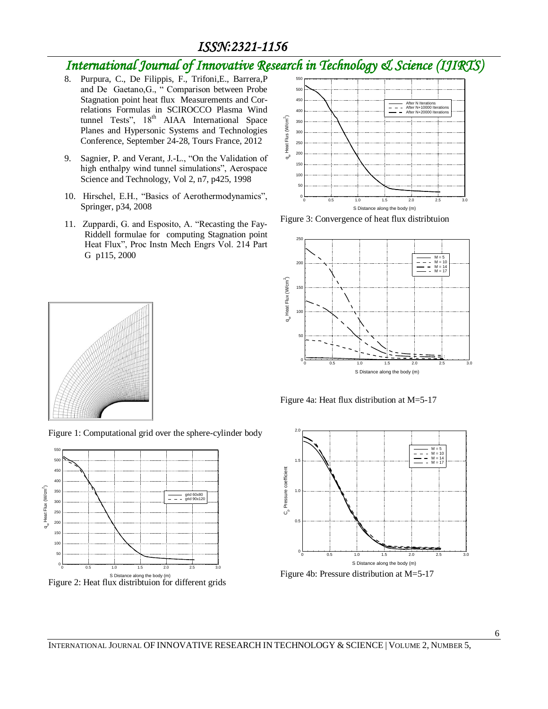## *International Journal of Innovative Research in Technology & Science (IJIRTS)*

- 8. Purpura, C., De Filippis, F., Trifoni,E., Barrera,P and De Gaetano,G., " Comparison between Probe Stagnation point heat flux Measurements and Correlations Formulas in SCIROCCO Plasma Wind tunnel Tests", 18<sup>th</sup> AIAA International Space Planes and Hypersonic Systems and Technologies Conference, September 24-28, Tours France, 2012
- 9. Sagnier, P. and Verant, J.-L., "On the Validation of high enthalpy wind tunnel simulations", Aerospace Science and Technology, Vol 2, n7, p425, 1998
- 10. Hirschel, E.H., "Basics of Aerothermodynamics", Springer, p34, 2008
- 11. Zuppardi, G. and Esposito, A. "Recasting the Fay-Riddell formulae for computing Stagnation point Heat Flux", Proc Instn Mech Engrs Vol. 214 Part G p115, 2000



Figure 3: Convergence of heat flux distribtuion



Figure 4a: Heat flux distribution at M=5-17







100 150 <sub>20</sub> 250 <sub>30</sub> <sub>35</sub>  $40^{1}$ 450 500

 $\,\sigma$ 

wheat Flux (W/cm<sup>2</sup>)<br> $\frac{1}{2}$ <br> $\frac{1}{2}$ 

Figure 1: Computational grid over the sphere-cylinder body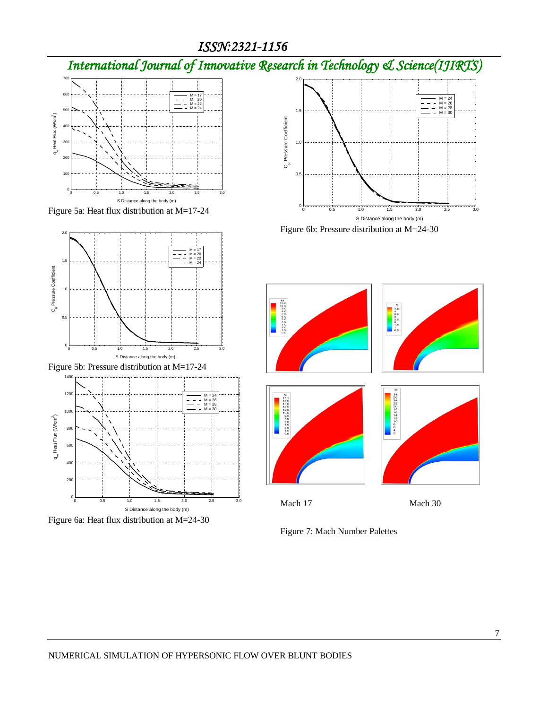*International Journal of Innovative Research in Technology & Science(IJIRTS)*



Figure 5a: Heat flux distribution at M=17-24



Figure 5b: Pressure distribution at M=17-24



Figure 6a: Heat flux distribution at M=24-30



Figure 6b: Pressure distribution at M=24-30



Figure 7: Mach Number Palettes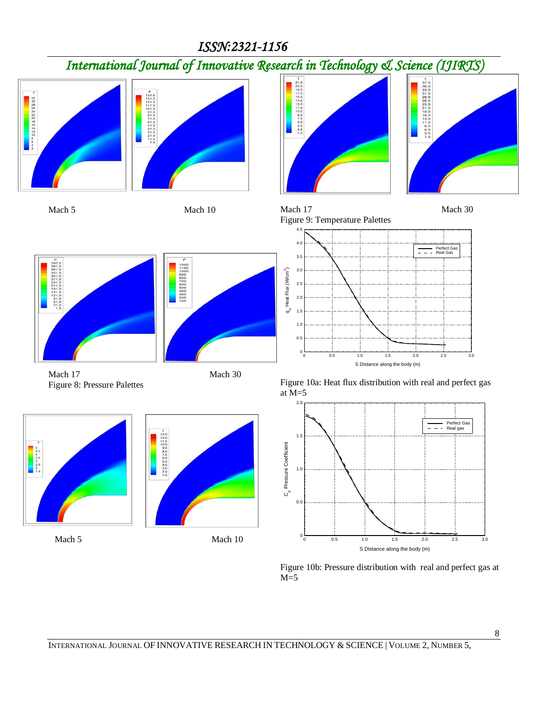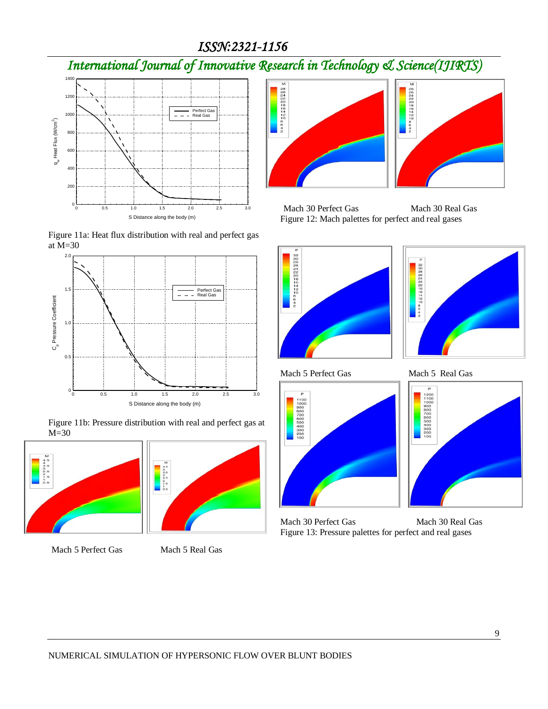*International Journal of Innovative Research in Technology & Science(IJIRTS)*







Figure 11b: Pressure distribution with real and perfect gas at M=30



Mach 5 Perfect Gas Mach 5 Real Gas



Mach 30 Perfect Gas Mach 30 Real Gas Figure 12: Mach palettes for perfect and real gases





Mach 5 Perfect Gas Mach 5 Real Gas







Mach 30 Perfect Gas Mach 30 Real Gas Figure 13: Pressure palettes for perfect and real gases